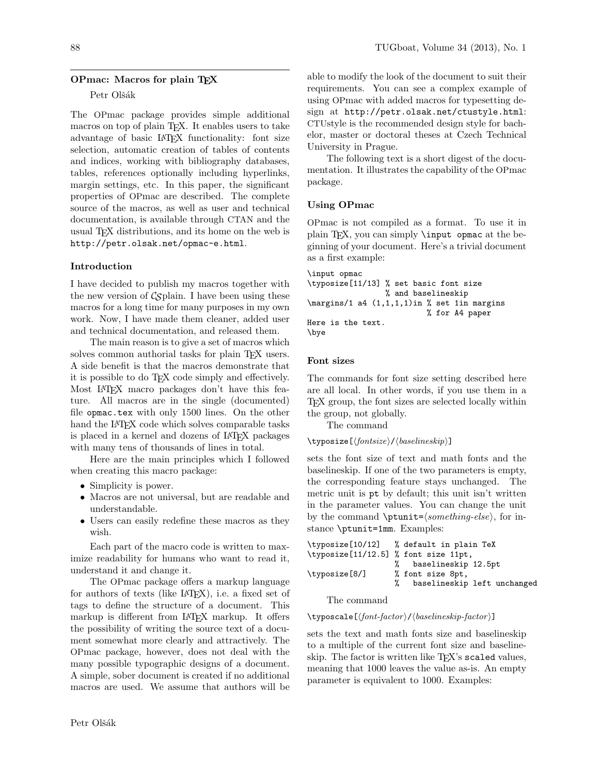## OPmac: Macros for plain TEX

### Petr Olšák

The OPmac package provides simple additional macros on top of plain T<sub>E</sub>X. It enables users to take advantage of basic LATEX functionality: font size selection, automatic creation of tables of contents and indices, working with bibliography databases, tables, references optionally including hyperlinks, margin settings, etc. In this paper, the significant properties of OPmac are described. The complete source of the macros, as well as user and technical documentation, is available through CTAN and the usual TEX distributions, and its home on the web is http://petr.olsak.net/opmac-e.html.

## Introduction

I have decided to publish my macros together with the new version of  $\mathcal{C}_{\mathcal{S}}$  plain. I have been using these macros for a long time for many purposes in my own work. Now, I have made them cleaner, added user and technical documentation, and released them.

The main reason is to give a set of macros which solves common authorial tasks for plain TEX users. A side benefit is that the macros demonstrate that it is possible to do TEX code simply and effectively. Most LATEX macro packages don't have this feature. All macros are in the single (documented) file opmac.tex with only 1500 lines. On the other hand the LAT<sub>EX</sub> code which solves comparable tasks is placed in a kernel and dozens of LAT<sub>EX</sub> packages with many tens of thousands of lines in total.

Here are the main principles which I followed when creating this macro package:

- Simplicity is power.
- Macros are not universal, but are readable and understandable.
- Users can easily redefine these macros as they wish.

Each part of the macro code is written to maximize readability for humans who want to read it, understand it and change it.

The OPmac package offers a markup language for authors of texts (like LATEX), i.e. a fixed set of tags to define the structure of a document. This markup is different from LATEX markup. It offers the possibility of writing the source text of a document somewhat more clearly and attractively. The OPmac package, however, does not deal with the many possible typographic designs of a document. A simple, sober document is created if no additional macros are used. We assume that authors will be

able to modify the look of the document to suit their requirements. You can see a complex example of using OPmac with added macros for typesetting design at http://petr.olsak.net/ctustyle.html: CTUstyle is the recommended design style for bachelor, master or doctoral theses at Czech Technical University in Prague.

The following text is a short digest of the documentation. It illustrates the capability of the OPmac package.

## Using OPmac

OPmac is not compiled as a format. To use it in plain T<sub>F</sub>X, you can simply  $\infty$  opmac at the beginning of your document. Here's a trivial document as a first example:

\input opmac \typosize[11/13] % set basic font size % and baselineskip \margins/1 a4 (1,1,1,1)in % set 1in margins % for A4 paper Here is the text. \bye

## Font sizes

The commands for font size setting described here are all local. In other words, if you use them in a TEX group, the font sizes are selected locally within the group, not globally.

The command

## \typosize[hfontsizei/hbaselineskipi]

sets the font size of text and math fonts and the baselineskip. If one of the two parameters is empty, the corresponding feature stays unchanged. The metric unit is pt by default; this unit isn't written in the parameter values. You can change the unit by the command  $\put{split}$   $\otimes$  for instance \ptunit=1mm. Examples:

|                                      | \typosize[10/12] % default in plain TeX |
|--------------------------------------|-----------------------------------------|
| \typosize[11/12.5] % font size 11pt, |                                         |
|                                      | % baselineskip 12.5pt                   |
| \typosize[8/]                        | % font size 8pt,                        |
|                                      | baselineskip left unchanged             |
|                                      |                                         |

The command

\typoscale[hfont-factor i/hbaselineskip-factor i]

sets the text and math fonts size and baselineskip to a multiple of the current font size and baselineskip. The factor is written like T<sub>E</sub>X's scaled values, meaning that 1000 leaves the value as-is. An empty parameter is equivalent to 1000. Examples: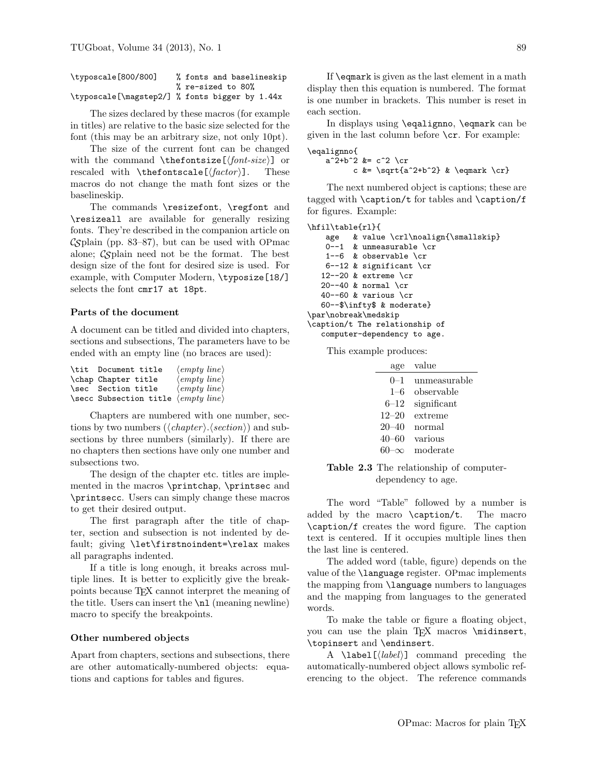| \typoscale[800/800] | % fonts and baselineskip                       |
|---------------------|------------------------------------------------|
|                     | % re-sized to 80%                              |
|                     | \typoscale[\magstep2/] % fonts bigger by 1.44x |

The sizes declared by these macros (for example in titles) are relative to the basic size selected for the font (this may be an arbitrary size, not only 10pt).

The size of the current font can be changed with the command  $\theta$  (thefontsize  $[ \{font-size \}]$  or rescaled with  $\theta[\frac{factor}{].$  These macros do not change the math font sizes or the baselineskip.

The commands \resizefont, \regfont and \resizeall are available for generally resizing fonts. They're described in the companion article on  $\mathcal{C}\mathcal{S}$ plain (pp. 83–87), but can be used with OPmac alone;  $\mathcal{C}_{\mathcal{S}}$  plain need not be the format. The best design size of the font for desired size is used. For example, with Computer Modern, \typosize[18/] selects the font cmr17 at 18pt.

## Parts of the document

A document can be titled and divided into chapters, sections and subsections, The parameters have to be ended with an empty line (no braces are used):

| \tit Document title                                 | $\langle empty\ line\rangle$ |
|-----------------------------------------------------|------------------------------|
| \chap Chapter title                                 | $\langle empty\ line\rangle$ |
| \sec Section title                                  | $\langle empty\ line\rangle$ |
| \secc Subsection title $\langle empty\ line\rangle$ |                              |

Chapters are numbered with one number, sections by two numbers ( $\langle chapter \rangle$ ).  $\langle section \rangle$  and subsections by three numbers (similarly). If there are no chapters then sections have only one number and subsections two.

The design of the chapter etc. titles are implemented in the macros \printchap, \printsec and \printsecc. Users can simply change these macros to get their desired output.

The first paragraph after the title of chapter, section and subsection is not indented by default; giving \let\firstnoindent=\relax makes all paragraphs indented.

If a title is long enough, it breaks across multiple lines. It is better to explicitly give the breakpoints because TEX cannot interpret the meaning of the title. Users can insert the  $\n\lambda$  (meaning newline) macro to specify the breakpoints.

#### Other numbered objects

Apart from chapters, sections and subsections, there are other automatically-numbered objects: equations and captions for tables and figures.

If \eqmark is given as the last element in a math display then this equation is numbered. The format is one number in brackets. This number is reset in each section.

In displays using \eqalignno, \eqmark can be given in the last column before  $\csc$ . For example:

```
\eqalignno{
    a^2+b^2 &= c<sup>2</sup> \cr
            c k = \sqrt{a^2+b^2} & \equiv \frac{c}{r}
```
The next numbered object is captions; these are tagged with \caption/t for tables and \caption/f for figures. Example:

```
\hfil\table{rl}{
   age & value \crl\noalign{\smallskip}
   0--1 & unmeasurable \cr
   1--6 & observable \cr
   6--12 & significant \cr
  12--20 & extreme \cr
  20--40 & normal \cr
  40--60 & various \cr
  60--$\infty$ & moderate}
\par\nobreak\medskip
\caption/t The relationship of
   computer-dependency to age.
```
This example produces:

| age       | value        |
|-----------|--------------|
| $0 - 1$   | unmeasurable |
| $1 - 6$   | observable   |
| $6 - 12$  | significant  |
| $12 - 20$ | extreme      |
| $20 - 40$ | normal       |
| 40–60     | various      |
|           | moderate     |

Table 2.3 The relationship of computerdependency to age.

The word "Table" followed by a number is added by the macro \caption/t. The macro \caption/f creates the word figure. The caption text is centered. If it occupies multiple lines then the last line is centered.

The added word (table, figure) depends on the value of the \language register. OPmac implements the mapping from \language numbers to languages and the mapping from languages to the generated words.

To make the table or figure a floating object, you can use the plain TFX macros \midinsert, \topinsert and \endinsert.

A \label[ $\langle label \rangle$ ] command preceding the automatically-numbered object allows symbolic referencing to the object. The reference commands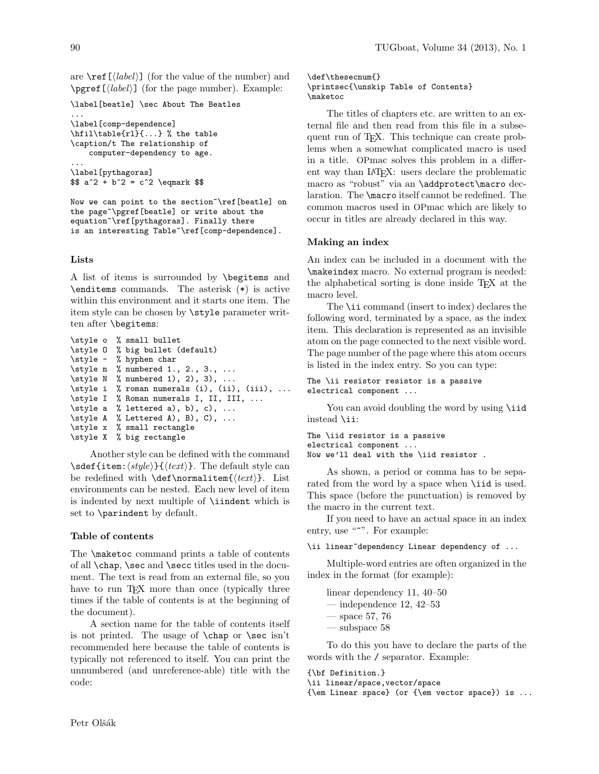are  $\text{ref}(\text{label})$  (for the value of the number) and  $\sqrt{label}$  (for the page number). Example:

```
\label[beatle] \sec About The Beatles
...
\label[comp-dependence]
\hfil\table{rl}{...} % the table
\caption/t The relationship of
    computer-dependency to age.
...
\label[pythagoras]
$ $ a^2 + b^2 = c^2 \qquad \
```
Now we can point to the section~\ref[beatle] on the page~\pgref[beatle] or write about the equation~\ref[pythagoras]. Finally there is an interesting Table~\ref[comp-dependence].

#### Lists

A list of items is surrounded by \begitems and \enditems commands. The asterisk (\*) is active within this environment and it starts one item. The item style can be chosen by \style parameter written after \begitems:

```
\style o % small bullet
\style 0 % big bullet (default)<br>\style - % hyphen char
          % hyphen char
\style n % numbered 1., 2., 3., ...
\style N % numbered 1), 2), 3), ...
\style i % roman numerals (i), (ii), (iii), ...
\style I % Roman numerals I, II, III, ...
\style a % lettered a), b), c), ...
\style A % Lettered A), B), C), ...
\style x % small rectangle
\style X % big rectangle
```
Another style can be defined with the command  $\setminus$ sdef{item: $\langle style \rangle$ }{ $\langle text \rangle$ }. The default style can be redefined with  $\det\normal{ \text{ } \text{ } t}$ . List environments can be nested. Each new level of item is indented by next multiple of \iindent which is set to \parindent by default.

#### Table of contents

The \maketoc command prints a table of contents of all \chap, \sec and \secc titles used in the document. The text is read from an external file, so you have to run TEX more than once (typically three times if the table of contents is at the beginning of the document).

A section name for the table of contents itself is not printed. The usage of \chap or \sec isn't recommended here because the table of contents is typically not referenced to itself. You can print the unnumbered (and unreference-able) title with the code:

\def\thesecnum{} \printsec{\unskip Table of Contents} \maketoc

The titles of chapters etc. are written to an external file and then read from this file in a subsequent run of TEX. This technique can create problems when a somewhat complicated macro is used in a title. OPmac solves this problem in a different way than IAT<sub>EX</sub>: users declare the problematic macro as "robust" via an \addprotect\macro declaration. The \macro itself cannot be redefined. The common macros used in OPmac which are likely to occur in titles are already declared in this way.

### Making an index

An index can be included in a document with the \makeindex macro. No external program is needed: the alphabetical sorting is done inside TEX at the macro level.

The \ii command (insert to index) declares the following word, terminated by a space, as the index item. This declaration is represented as an invisible atom on the page connected to the next visible word. The page number of the page where this atom occurs is listed in the index entry. So you can type:

```
The \ii resistor resistor is a passive
electrical component ...
```
You can avoid doubling the word by using **\iid** instead \ii:

```
The \iid resistor is a passive
electrical component ...
Now we'll deal with the \iid resistor .
```
As shown, a period or comma has to be separated from the word by a space when **\iid** is used. This space (before the punctuation) is removed by the macro in the current text.

If you need to have an actual space in an index entry, use "<sup>\*\*</sup>". For example:

```
\ii linear~dependency Linear dependency of ...
```
Multiple-word entries are often organized in the index in the format (for example):

linear dependency 11, 40–50 — independence  $12, 42-53$ — space 57, 76 — subspace 58

To do this you have to declare the parts of the words with the / separator. Example:

```
{\bf Definition.}
\ii linear/space,vector/space
{\em Linear space} (or {\em vector space}) is ...
```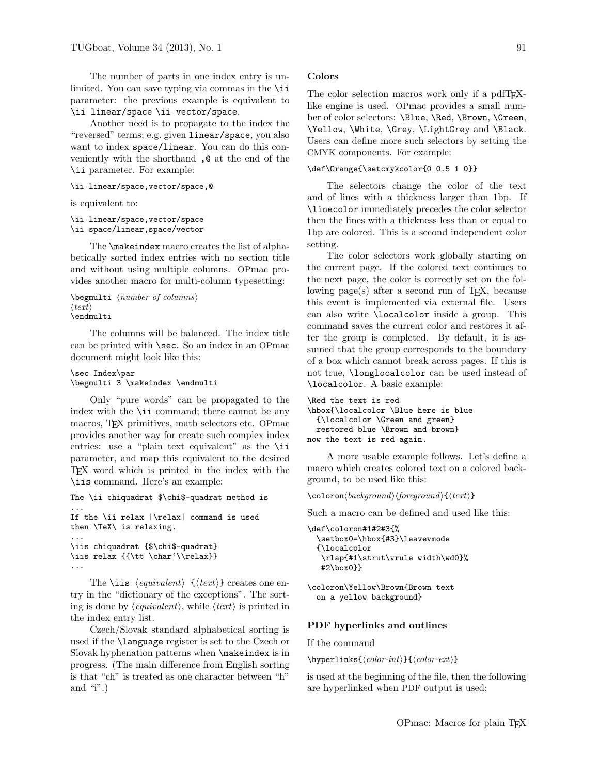The number of parts in one index entry is unlimited. You can save typing via commas in the \ii parameter: the previous example is equivalent to \ii linear/space \ii vector/space.

Another need is to propagate to the index the "reversed" terms; e.g. given linear/space, you also want to index space/linear. You can do this conveniently with the shorthand ,@ at the end of the \ii parameter. For example:

#### \ii linear/space,vector/space,@

is equivalent to:

```
\ii linear/space,vector/space
\ii space/linear,space/vector
```
The \makeindex macro creates the list of alphabetically sorted index entries with no section title and without using multiple columns. OPmac provides another macro for multi-column typesetting:

```
\begin{cases} \text{number of columns} \end{cases}\langle \text{text}\rangle\endmulti
```
The columns will be balanced. The index title can be printed with \sec. So an index in an OPmac document might look like this:

```
\sec Index\par
\begmulti 3 \makeindex \endmulti
```
Only "pure words" can be propagated to the index with the \ii command; there cannot be any macros, TEX primitives, math selectors etc. OPmac provides another way for create such complex index entries: use a "plain text equivalent" as the \ii parameter, and map this equivalent to the desired TEX word which is printed in the index with the \iis command. Here's an example:

```
The \ii chiquadrat $\chi$-quadrat method is
...
If the \ii relax |\relax| command is used
then \TeX\ is relaxing.
...
\iis chiquadrat {$\chi$-quadrat}
\iis relax {{\tt \char'\\relax}}
...
```
The **\iis**  $\langle equivalent \rangle$   $\{\langle text \rangle\}$  creates one entry in the "dictionary of the exceptions". The sorting is done by  $\langle \text{equivalent} \rangle$ , while  $\langle \text{text} \rangle$  is printed in the index entry list.

Czech/Slovak standard alphabetical sorting is used if the \language register is set to the Czech or Slovak hyphenation patterns when \makeindex is in progress. (The main difference from English sorting is that "ch" is treated as one character between "h" and "i".)

#### Colors

The color selection macros work only if a pdfT<sub>F</sub>Xlike engine is used. OPmac provides a small number of color selectors: \Blue, \Red, \Brown, \Green, \Yellow, \White, \Grey, \LightGrey and \Black. Users can define more such selectors by setting the CMYK components. For example:

#### \def\Orange{\setcmykcolor{0 0.5 1 0}}

The selectors change the color of the text and of lines with a thickness larger than 1bp. If \linecolor immediately precedes the color selector then the lines with a thickness less than or equal to 1bp are colored. This is a second independent color setting.

The color selectors work globally starting on the current page. If the colored text continues to the next page, the color is correctly set on the following  $page(s)$  after a second run of T<sub>E</sub>X, because this event is implemented via external file. Users can also write \localcolor inside a group. This command saves the current color and restores it after the group is completed. By default, it is assumed that the group corresponds to the boundary of a box which cannot break across pages. If this is not true, \longlocalcolor can be used instead of \localcolor. A basic example:

```
\Red the text is red
\hbox{\localcolor \Blue here is blue
  {\localcolor \Green and green}
 restored blue \Brown and brown}
now the text is red again.
```
A more usable example follows. Let's define a macro which creates colored text on a colored background, to be used like this:

\coloronhbackgroundihforegroundi{htexti}

Such a macro can be defined and used like this:

\def\coloron#1#2#3{% \setbox0=\hbox{#3}\leavevmode {\localcolor \rlap{#1\strut\vrule width\wd0}% #2\box0}}

\coloron\Yellow\Brown{Brown text on a yellow background}

#### PDF hyperlinks and outlines

If the command

 $\hbox{\texttt{color-int}}{\dot{color-ext}}$ 

is used at the beginning of the file, then the following are hyperlinked when PDF output is used: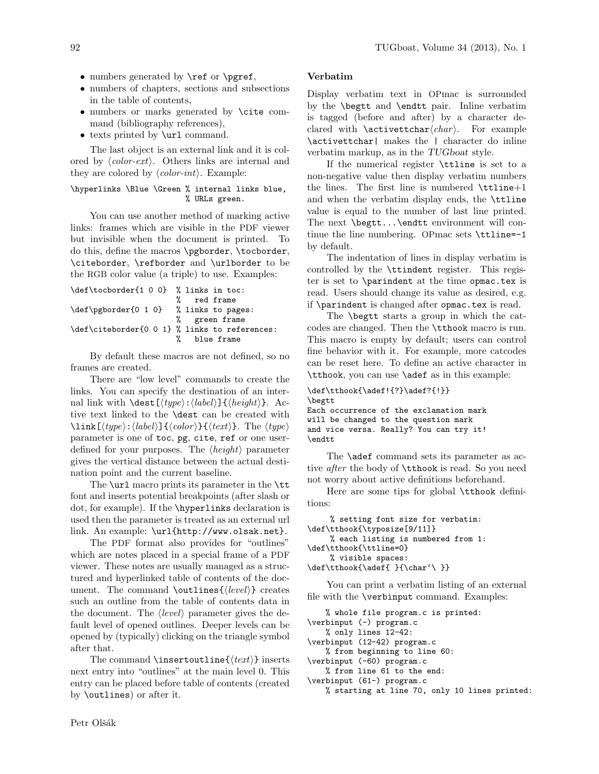- numbers generated by \ref or \pgref,
- numbers of chapters, sections and subsections in the table of contents,
- numbers or marks generated by \cite command (bibliography references),
- texts printed by **\url** command.

The last object is an external link and it is colored by  $\langle color\text{-}ext\rangle$ . Others links are internal and they are colored by  $\langle color\text{-}int\rangle$ . Example:

## \hyperlinks \Blue \Green % internal links blue, % URLs green.

You can use another method of marking active links: frames which are visible in the PDF viewer but invisible when the document is printed. To do this, define the macros \pgborder, \tocborder, \citeborder, \refborder and \urlborder to be the RGB color value (a triple) to use. Examples:

| \def\tocborder{1 0 0} % links in toc:         |               |  |
|-----------------------------------------------|---------------|--|
|                                               | % red frame   |  |
| \def\pgborder{0 1 0} % links to pages:        |               |  |
|                                               | % green frame |  |
| \def\citeborder{0 0 1} % links to references: |               |  |
|                                               | % blue frame  |  |

By default these macros are not defined, so no frames are created.

There are "low level" commands to create the links. You can specify the destination of an internal link with  $\dest[\langle type \rangle:\langle label \rangle]\{\langle height \rangle\}.$  Active text linked to the \dest can be created with  $\langle type \rangle:\langle label \rangle \exists \{\langle color \rangle\} \exists \langle text \rangle\}.$  The  $\langle type \rangle$ parameter is one of toc, pg, cite, ref or one userdefined for your purposes. The  $\langle height \rangle$  parameter gives the vertical distance between the actual destination point and the current baseline.

The **\url** macro prints its parameter in the **\tt** font and inserts potential breakpoints (after slash or dot, for example). If the \hyperlinks declaration is used then the parameter is treated as an external url link. An example: \url{http://www.olsak.net}.

The PDF format also provides for "outlines" which are notes placed in a special frame of a PDF viewer. These notes are usually managed as a structured and hyperlinked table of contents of the document. The command \outlines{ $\{level\}$ } creates such an outline from the table of contents data in the document. The  $\langle level \rangle$  parameter gives the default level of opened outlines. Deeper levels can be opened by (typically) clicking on the triangle symbol after that.

The command \insertoutline{ $\text{\textit{text}}$ } inserts next entry into "outlines" at the main level 0. This entry can be placed before table of contents (created by \outlines) or after it.

# Verbatim

Display verbatim text in OPmac is surrounded by the \begtt and \endtt pair. Inline verbatim is tagged (before and after) by a character declared with  $\text{textchar}(char)$ . For example \activettchar| makes the | character do inline verbatim markup, as in the TUGboat style.

If the numerical register \ttline is set to a non-negative value then display verbatim numbers the lines. The first line is numbered  $\tilde{}$ ttline+1 and when the verbatim display ends, the \ttline value is equal to the number of last line printed. The next \begtt...\endtt environment will continue the line numbering. OPmac sets \ttline=-1 by default.

The indentation of lines in display verbatim is controlled by the \ttindent register. This register is set to \parindent at the time opmac.tex is read. Users should change its value as desired, e.g. if \parindent is changed after opmac.tex is read.

The \begtt starts a group in which the catcodes are changed. Then the \tthook macro is run. This macro is empty by default; users can control fine behavior with it. For example, more catcodes can be reset here. To define an active character in \tthook, you can use \adef as in this example:

```
\def\tthook{\adef!{?}\adef?{!}}
\begtt
Each occurrence of the exclamation mark
will be changed to the question mark
and vice versa. Really? You can try it!
\endt.t.
```
The **\adef** command sets its parameter as active after the body of **\tthook** is read. So you need not worry about active definitions beforehand.

Here are some tips for global \tthook definitions:

```
% setting font size for verbatim:
\def\tthook{\typosize[9/11]}
    % each listing is numbered from 1:
\def\tthook{\ttline=0}
    % visible spaces:
\def\tthook{\adef{ }{\char'\ }}
```
You can print a verbatim listing of an external file with the \verbinput command. Examples:

```
% whole file program.c is printed:
\verbinput (-) program.c
   % only lines 12-42:
\verbinput (12-42) program.c
   % from beginning to line 60:
\verbinput (-60) program.c
   % from line 61 to the end:
\verbinput (61-) program.c
   % starting at line 70, only 10 lines printed:
```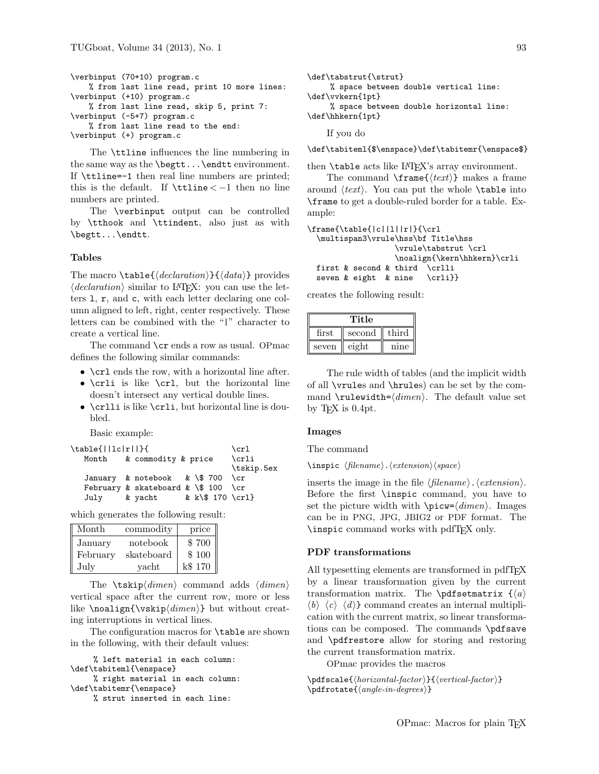```
\verbinput (70+10) program.c
    % from last line read, print 10 more lines:
\verbinput (+10) program.c
   % from last line read, skip 5, print 7:
\verbinput (-5+7) program.c
    % from last line read to the end:
\verbinput (+) program.c
```
The \ttline influences the line numbering in the same way as the \begtt...\endtt environment. If \ttline=-1 then real line numbers are printed; this is the default. If  $\tt \tilde{$  then no line numbers are printed.

The \verbinput output can be controlled by \tthook and \ttindent, also just as with \begtt...\endtt.

#### Tables

The macro  $\table{declaration}{\ddot{d}atan}$  provides  $\langle declaration \rangle$  similar to LATEX: you can use the letters l, r, and c, with each letter declaring one column aligned to left, right, center respectively. These letters can be combined with the "|" character to create a vertical line.

The command **\cr** ends a row as usual. OPmac defines the following similar commands:

- \crl ends the row, with a horizontal line after.
- \crli is like \crl, but the horizontal line doesn't intersect any vertical double lines.
- \crlli is like \crli, but horizontal line is doubled.

Basic example:

```
\label{||cl|} \table{||lc|r||}{ \crl
  Month & commodity & price \crli
                               \tskip.5ex
  January & notebook & \$ 700 \cr
  February & skateboard & \ 100 \crJuly & yacht & k\$ 170 \crl}
```
which generates the following result:

| Month    | commodity  | price   |
|----------|------------|---------|
| January  | notebook   | \$700   |
| February | skateboard | \$100   |
| July     | vacht      | k\$ 170 |

The  $\text{tskip}(dimension)$  command adds  $\text{dimension}$ vertical space after the current row, more or less like  $\nabla \text{ }\text{limen}\}$  but without creating interruptions in vertical lines.

The configuration macros for \table are shown in the following, with their default values:

```
% left material in each column:
\def\tabiteml{\enspace}
     % right material in each column:
\def\tabitemr{\enspace}
     % strut inserted in each line:
```

```
\def\tabstrut{\strut}
    % space between double vertical line:
\def\vvkern{1pt}
    % space between double horizontal line:
\def\hhkern{1pt}
    If you do
```
\def\tabiteml{\$\enspace}\def\tabitemr{\enspace\$}

then  $\theta$  acts like LAT<sub>EX</sub>'s array environment.

The command  $\frac{\text{text}}{ }$  makes a frame around  $\langle text \rangle$ . You can put the whole **\table** into \frame to get a double-ruled border for a table. Example:

```
\frac{\tanh{|c||1||r|}{\crl}\multispan3\vrule\hss\bf Title\hss
                  \vrule\tabstrut \crl
                  \noalign{\kern\hhkern}\crli
 first \& second \& third
 seven & eight & nine \crli}}
```
creates the following result:

| Title |        |       |
|-------|--------|-------|
| first | second | third |
| seven | eight  | nine  |

The rule width of tables (and the implicit width of all \vrules and \hrules) can be set by the command  $\text{tub} = \dim en$ . The default value set by TEX is 0.4pt.

#### Images

The command

 $\langle filename \rangle.\langle extension \rangle$ 

inserts the image in the file  $\langle$  filename $\rangle$ .  $\langle$  extension $\rangle$ . Before the first \inspic command, you have to set the picture width with  $\pi\leq \dim en$ . Images can be in PNG, JPG, JBIG2 or PDF format. The \inspic command works with pdfTEX only.

# PDF transformations

All typesetting elements are transformed in pdfTFX by a linear transformation given by the current transformation matrix. The \pdfsetmatrix  $\{\langle a \rangle\}$  $\langle b \rangle \langle c \rangle \langle d \rangle$  command creates an internal multiplication with the current matrix, so linear transformations can be composed. The commands \pdfsave and \pdfrestore allow for storing and restoring the current transformation matrix.

OPmac provides the macros

 $\pdfscale{\langle horizontal-factor \rangle}{\langle vertical-factor \rangle}$  $\phi\$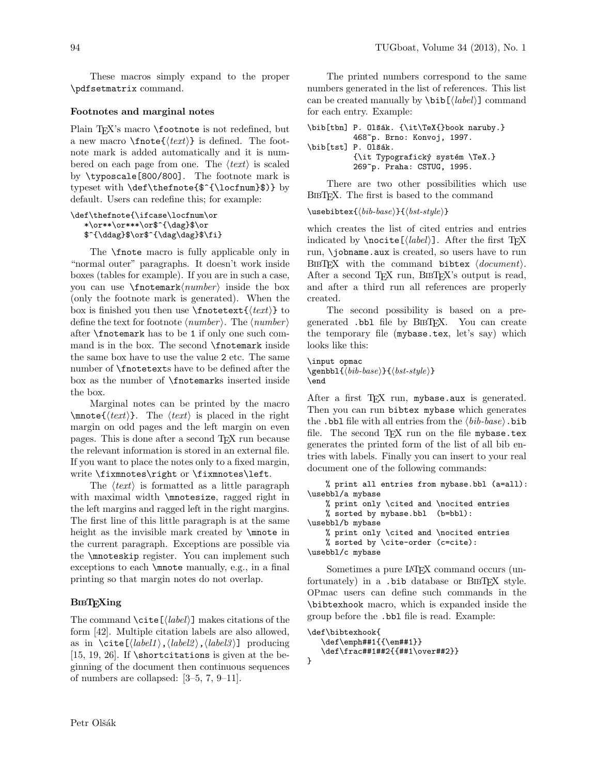These macros simply expand to the proper \pdfsetmatrix command.

### Footnotes and marginal notes

Plain TEX's macro \footnote is not redefined, but a new macro  $\mathcal{h}(text)$  is defined. The footnote mark is added automatically and it is numbered on each page from one. The  $\langle text \rangle$  is scaled by \typoscale[800/800]. The footnote mark is typeset with \def\thefnote{\$^{\locfnum}\$)} by default. Users can redefine this; for example:

#### \def\thefnote{\ifcase\locfnum\or \*\or\*\*\or\*\*\*\or\$^{\dag}\$\or \$^{\ddag}\$\or\$^{\dag\dag}\$\fi}

The \fnote macro is fully applicable only in "normal outer" paragraphs. It doesn't work inside boxes (tables for example). If you are in such a case, you can use  $\mathsf{hower}\rangle$  inside the box (only the footnote mark is generated). When the box is finished you then use  $\mathcal{\text{text}} \$  to define the text for footnote  $\langle number \rangle$ . The  $\langle number \rangle$ after \fnotemark has to be 1 if only one such command is in the box. The second \fnotemark inside the same box have to use the value 2 etc. The same number of \fnotetexts have to be defined after the box as the number of \fnotemarks inserted inside the box.

Marginal notes can be printed by the macro  $\mathcal{H}(text)$ . The  $\text{int}$  is placed in the right margin on odd pages and the left margin on even pages. This is done after a second TEX run because the relevant information is stored in an external file. If you want to place the notes only to a fixed margin, write \fixmnotes\right or \fixmnotes\left.

The  $\langle text \rangle$  is formatted as a little paragraph with maximal width  $\mathcal{S}$  ragged right in the left margins and ragged left in the right margins. The first line of this little paragraph is at the same height as the invisible mark created by \mnote in the current paragraph. Exceptions are possible via the \mnoteskip register. You can implement such exceptions to each \mnote manually, e.g., in a final printing so that margin notes do not overlap.

# **BIBTEXing**

The command  $\text{cite}(\text{label})$  makes citations of the form [42]. Multiple citation labels are also allowed, as in  $\text{cite}[\langle label1 \rangle, \langle label2 \rangle, \langle label3 \rangle]$  producing [15, 19, 26]. If  $\text{itions}$  is given at the beginning of the document then continuous sequences of numbers are collapsed: [3–5, 7, 9–11].

The printed numbers correspond to the same numbers generated in the list of references. This list can be created manually by  $\bib[\langle label \rangle]$  command for each entry. Example:

```
\bib[tbn] P. Olšák. {\it\TeX{}book naruby.}
          468~p. Brno: Konvoj, 1997.
\bib[tst] P. Olšák.
          {\it Typografický systém \TeX.}
          269~p. Praha: CSTUG, 1995.
```
There are two other possibilities which use BIBT<sub>EX</sub>. The first is based to the command

```
\usebibtex{hbib-basei}{hbst-stylei}
```
which creates the list of cited entries and entries indicated by  $\nabla \{label\}$ . After the first TEX run, \jobname.aux is created, so users have to run BIBT<sub>F</sub>X with the command bibtex  $\langle document \rangle$ . After a second T<sub>EX</sub> run, BIBT<sub>EX</sub>'s output is read, and after a third run all references are properly created.

The second possibility is based on a pregenerated .bbl file by BIBTFX. You can create the temporary file (mybase.tex, let's say) which looks like this:

```
\input opmac
\genbbl{hbib-basei}{hbst-stylei}
\end
```
After a first TEX run, mybase.aux is generated. Then you can run bibtex mybase which generates the .bbl file with all entries from the  $\langle bib\text{-}base\rangle$ .bib file. The second  $T_{FX}$  run on the file mybase.tex generates the printed form of the list of all bib entries with labels. Finally you can insert to your real document one of the following commands:

% print all entries from mybase.bbl (a=all): \usebbl/a mybase

```
% print only \cited and \nocited entries
   % sorted by mybase.bbl (b=bbl):
\usebbl/b mybase
   % print only \cited and \nocited entries
   % sorted by \cite-order (c=cite):
\usebbl/c mybase
```
Sometimes a pure LATEX command occurs (unfortunately) in a .bib database or BIBTFX style. OPmac users can define such commands in the \bibtexhook macro, which is expanded inside the group before the .bbl file is read. Example:

```
\def\bibtexhook{
   \def\emph##1{{\em##1}}
   \def\frac##1##2{{##1\over##2}}
}
```